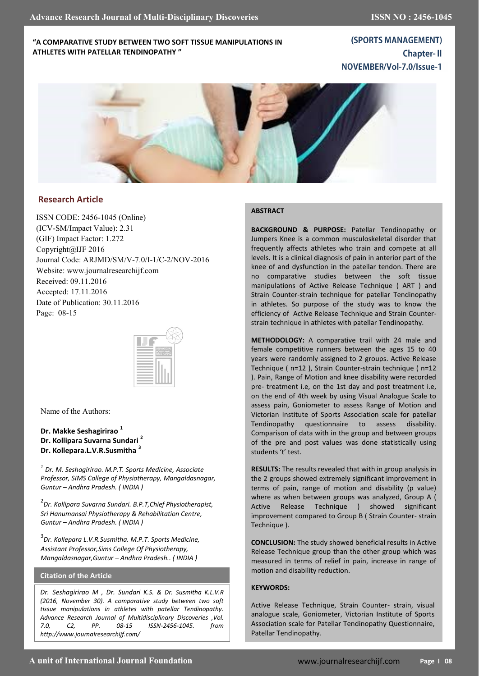## **"A COMPARATIVE STUDY BETWEEN TWO SOFT TISSUE MANIPULATIONS IN ATHLETES WITH PATELLAR TENDINOPATHY "**

**(SPORTS MANAGEMENT) Chapter-II** NOVEMBER/Vol-7.0/Issue-1



## **Research Article**

ISSN CODE: 2456-1045 (Online) (ICV-SM/Impact Value): 2.31 (GIF) Impact Factor: 1.272 Copyright@IJF 2016 Journal Code: ARJMD/SM/V-7.0/I-1/C-2/NOV-2016 Website: www.journalresearchijf.com Received: 09.11.2016 Accepted: 17.11.2016 Date of Publication: 30.11.2016 Page: 08-15



Name of the Authors:

**Dr. Makke Seshagirirao <sup>1</sup> Dr. Kollipara Suvarna Sundari <sup>2</sup> Dr. Kollepara.L.V.R.Susmitha <sup>3</sup>**

*1 Dr. M. Seshagirirao. M.P.T. Sports Medicine, Associate Professor, SIMS College of Physiotherapy, Mangaldasnagar, Guntur – Andhra Pradesh. ( INDIA )*

2 *Dr. Kollipara Suvarna Sundari. B.P.T,Chief Physiotherapist, Sri Hanumansai Physiotherapy & Rehabilitation Centre, Guntur – Andhra Pradesh. ( INDIA )*

3 *Dr. Kollepara L.V.R.Susmitha. M.P.T. Sports Medicine, Assistant Professor,Sims College Of Physiotherapy, Mangaldasnagar,Guntur – Andhra Pradesh.. ( INDIA )*

## **Citation of the Article**

*Dr. Seshagirirao M , Dr. Sundari K.S. & Dr. Susmitha K.L.V.R (2016, November 30). A comparative study between two soft tissue manipulations in athletes with patellar Tendinopathy. Advance Research Journal of Multidisciplinary Discoveries ,Vol. 7.0, C2, PP. 08-15 ISSN-2456-1045. from http://www.journalresearchijf.com/*

#### **ABSTRACT**

**BACKGROUND & PURPOSE:** Patellar Tendinopathy or Jumpers Knee is a common musculoskeletal disorder that frequently affects athletes who train and compete at all levels. It is a clinical diagnosis of pain in anterior part of the knee of and dysfunction in the patellar tendon. There are no comparative studies between the soft tissue manipulations of Active Release Technique ( ART ) and Strain Counter-strain technique for patellar Tendinopathy in athletes. So purpose of the study was to know the efficiency of Active Release Technique and Strain Counterstrain technique in athletes with patellar Tendinopathy.

**METHODOLOGY:** A comparative trail with 24 male and female competitive runners between the ages 15 to 40 years were randomly assigned to 2 groups. Active Release Technique ( n=12 ), Strain Counter-strain technique ( n=12 ). Pain, Range of Motion and knee disability were recorded pre- treatment i.e, on the 1st day and post treatment i.e, on the end of 4th week by using Visual Analogue Scale to assess pain, Goniometer to assess Range of Motion and Victorian Institute of Sports Association scale for patellar Tendinopathy questionnaire to assess disability. Comparison of data with in the group and between groups of the pre and post values was done statistically using students 't' test.

**RESULTS:** The results revealed that with in group analysis in the 2 groups showed extremely significant improvement in terms of pain, range of motion and disability (p value) where as when between groups was analyzed, Group A ( Active Release Technique ) showed significant improvement compared to Group B ( Strain Counter- strain Technique ).

**CONCLUSION:** The study showed beneficial results in Active Release Technique group than the other group which was measured in terms of relief in pain, increase in range of motion and disability reduction.

## **KEYWORDS:**

Active Release Technique, Strain Counter- strain, visual analogue scale, Goniometer, Victorian Institute of Sports Association scale for Patellar Tendinopathy Questionnaire, Patellar Tendinopathy.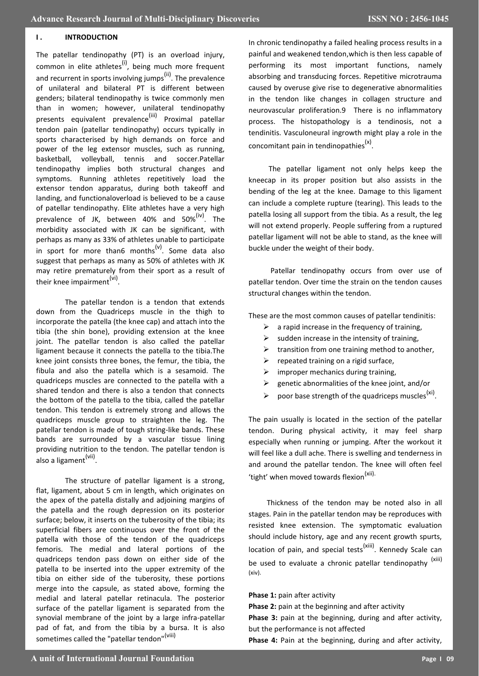## **I.** INTRODUCTION

The patellar tendinopathy (PT) is an overload injury, common in elite athletes<sup>(i)</sup>, being much more frequent and recurrent in sports involving jumps<sup>(ii)</sup>. The prevalence of unilateral and bilateral PT is different between genders; bilateral tendinopathy is twice commonly men than in women; however, unilateral tendinopathy presents equivalent prevalence<sup>(iii)</sup> Proximal patellar tendon pain (patellar tendinopathy) occurs typically in sports characterised by high demands on force and power of the leg extensor muscles, such as running, basketball, volleyball, tennis and soccer.Patellar tendinopathy implies both structural changes and symptoms. Running athletes repetitively load the extensor tendon apparatus, during both takeoff and landing, and functionaloverload is believed to be a cause of patellar tendinopathy. Elite athletes have a very high prevalence of JK, between 40% and 50%<sup>(iv)</sup>. The morbidity associated with JK can be significant, with perhaps as many as 33% of athletes unable to participate in sport for more than6 months<sup>(v)</sup>. Some data also suggest that perhaps as many as 50% of athletes with JK may retire prematurely from their sport as a result of their knee impairment<sup>(vi)</sup>.

The patellar tendon is a tendon that extends down from the Quadriceps muscle in the thigh to incorporate the patella (the knee cap) and attach into the tibia (the shin bone), providing extension at the knee joint. The patellar tendon is also called the patellar ligament because it connects the patella to the tibia.The knee joint consists three bones, the femur, the tibia, the fibula and also the patella which is a sesamoid. The quadriceps muscles are connected to the patella with a shared tendon and there is also a tendon that connects the bottom of the patella to the tibia, called the patellar tendon. This tendon is extremely strong and allows the quadriceps muscle group to straighten the leg. The patellar tendon is made of tough string-like bands. These bands are surrounded by a vascular tissue lining providing nutrition to the tendon. The patellar tendon is also a ligament<sup>(vii)</sup>.

The structure of patellar ligament is a strong, flat, ligament, about 5 cm in length, which originates on the apex of the patella distally and adjoining margins of the patella and the rough depression on its posterior surface; below, it inserts on the tuberosity of the tibia; its superficial fibers are continuous over the front of the patella with those of the tendon of the quadriceps femoris. The medial and lateral portions of the quadriceps tendon pass down on either side of the patella to be inserted into the upper extremity of the tibia on either side of the tuberosity, these portions merge into the capsule, as stated above, forming the medial and lateral patellar retinacula. The posterior surface of the patellar ligament is separated from the synovial membrane of the joint by a large infra-patellar pad of fat, and from the tibia by a bursa. It is also sometimes called the "patellar tendon"<sup>(viii)</sup>

In chronic tendinopathy a failed healing process results in a painful and weakened tendon,which is then less capable of performing its most important functions, namely absorbing and transducing forces. Repetitive microtrauma caused by overuse give rise to degenerative abnormalities in the tendon like changes in collagen structure and neurovascular proliferation.9 There is no inflammatory process. The histopathology is a tendinosis, not a tendinitis. Vasculoneural ingrowth might play a role in the concomitant pain in tendinopathies<sup>(x)</sup>.

 The patellar ligament not only helps keep the kneecap in its proper position but also assists in the bending of the leg at the knee. Damage to this ligament can include a complete rupture (tearing). This leads to the patella losing all support from the tibia. As a result, the leg will not extend properly. People suffering from a ruptured patellar ligament will not be able to stand, as the knee will buckle under the weight of their body.

 Patellar tendinopathy occurs from over use of patellar tendon. Over time the strain on the tendon causes structural changes within the tendon.

These are the most common causes of patellar tendinitis:

- $\triangleright$  a rapid increase in the frequency of training,
- $\triangleright$  sudden increase in the intensity of training,
- $\triangleright$  transition from one training method to another,
- $\triangleright$  repeated training on a rigid surface,
- $\triangleright$  improper mechanics during training,
- $\triangleright$  genetic abnormalities of the knee joint, and/or
- $\triangleright$  poor base strength of the quadriceps muscles<sup>(xi)</sup>.

The pain usually is located in the section of the patellar tendon. During physical activity, it may feel sharp especially when running or jumping. After the workout it will feel like a dull ache. There is swelling and tenderness in and around the patellar tendon. The knee will often feel 'tight' when moved towards flexion<sup>(xii).</sup>

 Thickness of the tendon may be noted also in all stages. Pain in the patellar tendon may be reproduces with resisted knee extension. The symptomatic evaluation should include history, age and any recent growth spurts, location of pain, and special tests<sup>(xiii)</sup>. Kennedy Scale can be used to evaluate a chronic patellar tendinopathy <sup>(xiii)</sup> (xiv).

## **Phase 1:** pain after activity

and the performance is affected.

**Phase 2:** pain at the beginning and after activity **Phase 3:** pain at the beginning, during and after activity, but the performance is not affected **Phase 4:** Pain at the beginning, during and after activity,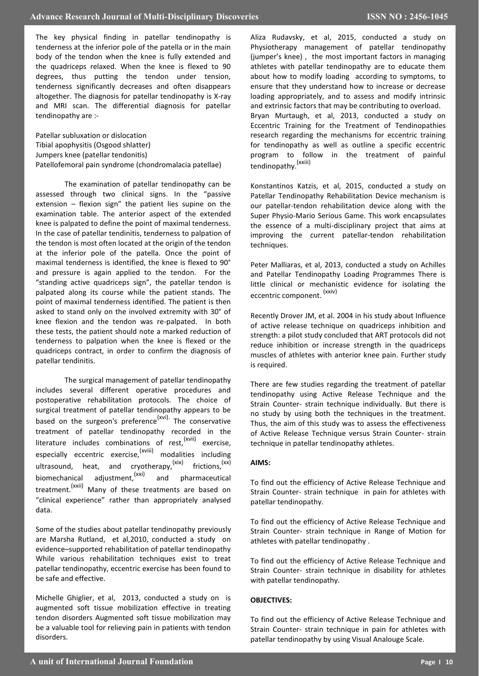The key physical finding in patellar tendinopathy is tenderness at the inferior pole of the patella or in the main body of the tendon when the knee is fully extended and the quadriceps relaxed. When the knee is flexed to 90 degrees, thus putting the tendon under tension, tenderness significantly decreases and often disappears altogether. The diagnosis for patellar tendinopathy is X-ray and MRI scan. The differential diagnosis for patellar tendinopathy are :-

Patellar subluxation or dislocation Tibial apophysitis (Osgood shlatter) Jumpers knee (patellar tendonitis) Patellofemoral pain syndrome (chondromalacia patellae)

The examination of patellar tendinopathy can be assessed through two clinical signs. In the "passive extension – flexion sign" the patient lies supine on the examination table. The anterior aspect of the extended knee is palpated to define the point of maximal tenderness. In the case of patellar tendinitis, tenderness to palpation of the tendon is most often located at the origin of the tendon at the inferior pole of the patella. Once the point of maximal tenderness is identified, the knee is flexed to 90° and pressure is again applied to the tendon. For the "standing active quadriceps sign", the patellar tendon is palpated along its course while the patient stands. The point of maximal tenderness identified. The patient is then asked to stand only on the involved extremity with 30° of knee flexion and the tendon was re-palpated. In both these tests, the patient should note a marked reduction of tenderness to palpation when the knee is flexed or the quadriceps contract, in order to confirm the diagnosis of patellar tendinitis.

The surgical management of patellar tendinopathy includes several different operative procedures and postoperative rehabilitation protocols. The choice of surgical treatment of patellar tendinopathy appears to be based on the surgeon's preference<sup>(xvi)</sup>. The conservative treatment of patellar tendinopathy recorded in the literature includes combinations of rest,  $(xvii)$  exercise, especially eccentric exercise,<sup>(xviii)</sup> modalities including ultrasound, heat, and cryotherapy,  $(xix)$  frictions,  $(xx)$ biomechanical adjustment,<sup>(xxi)</sup> and pharmaceutical treatment.<sup>(xxii)</sup> Many of these treatments are based on "clinical experience" rather than appropriately analysed data.

Some of the studies about patellar tendinopathy previously are Marsha Rutland, et al,2010, conducted a study on evidence–supported rehabilitation of patellar tendinopathy While various rehabilitation techniques exist to treat patellar tendinopathy, eccentric exercise has been found to be safe and effective.

Michelle Ghiglier, et al, 2013, conducted a study on is augmented soft tissue mobilization effective in treating tendon disorders Augmented soft tissue mobilization may be a valuable tool for relieving pain in patients with tendon disorders.

Aliza Rudavsky, et al, 2015, conducted a study on Physiotherapy management of patellar tendinopathy (jumper's knee) , the most important factors in managing athletes with patellar tendinopathy are to educate them about how to modify loading according to symptoms, to ensure that they understand how to increase or decrease loading appropriately, and to assess and modify intrinsic and extrinsic factors that may be contributing to overload. Bryan Murtaugh, et al, 2013, conducted a study on Eccentric Training for the Treatment of Tendinopathies research regarding the mechanisms for eccentric training for tendinopathy as well as outline a specific eccentric program to follow in the treatment of painful tendinopathy.(xxiii)

Konstantinos Katzis, et al, 2015, conducted a study on Patellar Tendinopathy Rehabilitation Device mechanism is our patellar-tendon rehabilitation device along with the Super Physio-Mario Serious Game. This work encapsulates the essence of a multi-disciplinary project that aims at improving the current patellar-tendon rehabilitation techniques.

Peter Malliaras, et al, 2013, conducted a study on Achilles and Patellar Tendinopathy Loading Programmes There is little clinical or mechanistic evidence for isolating the eccentric component. (xxiv)

Recently Drover JM, et al. 2004 in his study about Influence of active release technique on quadriceps inhibition and strength: a pilot study concluded that ART protocols did not reduce inhibition or increase strength in the quadriceps muscles of athletes with anterior knee pain. Further study is required.

There are few studies regarding the treatment of patellar tendinopathy using Active Release Technique and the Strain Counter- strain technique individually. But there is no study by using both the techniques in the treatment. Thus, the aim of this study was to assess the effectiveness of Active Release Technique versus Strain Counter- strain technique in patellar tendinopathy athletes.

## **AIMS:**

To find out the efficiency of Active Release Technique and Strain Counter- strain technique in pain for athletes with patellar tendinopathy.

To find out the efficiency of Active Release Technique and Strain Counter- strain technique in Range of Motion for athletes with patellar tendinopathy .

To find out the efficiency of Active Release Technique and Strain Counter- strain technique in disability for athletes with patellar tendinopathy.

## **OBJECTIVES:**

To find out the efficiency of Active Release Technique and Strain Counter- strain technique in pain for athletes with patellar tendinopathy by using Visual Analouge Scale.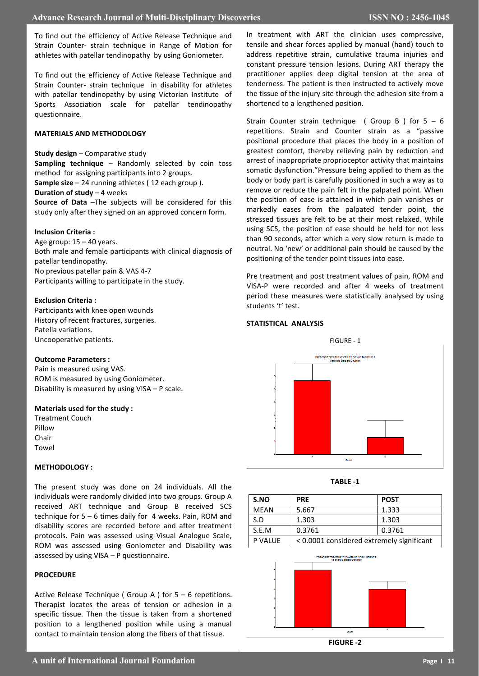To find out the efficiency of Active Release Technique and Strain Counter- strain technique in Range of Motion for athletes with patellar tendinopathy by using Goniometer.

To find out the efficiency of Active Release Technique and Strain Counter- strain technique in disability for athletes with patellar tendinopathy by using Victorian Institute of Sports Association scale for patellar tendinopathy questionnaire.

## **MATERIALS AND METHODOLOGY**

#### **Study design** – Comparative study

**Sampling technique** – Randomly selected by coin toss method for assigning participants into 2 groups.

**Sample size** – 24 running athletes ( 12 each group ).

**Duration of study** – 4 weeks

**Source of Data** –The subjects will be considered for this study only after they signed on an approved concern form.

## **Inclusion Criteria :**

Age group: 15 – 40 years. Both male and female participants with clinical diagnosis of patellar tendinopathy. No previous patellar pain & VAS 4-7 Participants willing to participate in the study.

#### **Exclusion Criteria :**

Participants with knee open wounds History of recent fractures, surgeries. Patella variations. Uncooperative patients.

#### **Outcome Parameters :**

Pain is measured using VAS. ROM is measured by using Goniometer. Disability is measured by using VISA – P scale.

#### **Materials used for the study :**

Treatment Couch Pillow Chair Towel

## **METHODOLOGY :**

The present study was done on 24 individuals. All the individuals were randomly divided into two groups. Group A received ART technique and Group B received SCS technique for 5 – 6 times daily for 4 weeks. Pain, ROM and disability scores are recorded before and after treatment protocols. Pain was assessed using Visual Analogue Scale, ROM was assessed using Goniometer and Disability was assessed by using VISA – P questionnaire.

## **PROCEDURE**

Active Release Technique ( Group A ) for 5 – 6 repetitions. Therapist locates the areas of tension or adhesion in a specific tissue. Then the tissue is taken from a shortened position to a lengthened position while using a manual contact to maintain tension along the fibers of that tissue.

In treatment with ART the clinician uses compressive, tensile and shear forces applied by manual (hand) touch to address repetitive strain, cumulative trauma injuries and constant pressure tension lesions. During ART therapy the practitioner applies deep digital tension at the area of tenderness. The patient is then instructed to actively move the tissue of the injury site through the adhesion site from a shortened to a lengthened position.

Strain Counter strain technique ( Group B ) for  $5 - 6$ repetitions. Strain and Counter strain as a "passive positional procedure that places the body in a position of greatest comfort, thereby relieving pain by reduction and arrest of inappropriate proprioceptor activity that maintains somatic dysfunction."Pressure being applied to them as the body or body part is carefully positioned in such a way as to remove or reduce the pain felt in the palpated point. When the position of ease is attained in which pain vanishes or markedly eases from the palpated tender point, the stressed tissues are felt to be at their most relaxed. While using SCS, the position of ease should be held for not less than 90 seconds, after which a very slow return is made to neutral. No 'new' or additional pain should be caused by the positioning of the tender point tissues into ease.

Pre treatment and post treatment values of pain, ROM and VISA-P were recorded and after 4 weeks of treatment period these measures were statistically analysed by using students 't' test.

## **STATISTICAL ANALYSIS**





| S.NO    | <b>PRE</b>                                | <b>POST</b> |
|---------|-------------------------------------------|-------------|
| MEAN    | 5.667                                     | 1.333       |
| S.D     | 1.303                                     | 1.303       |
| S.E.M   | 0.3761                                    | 0.3761      |
| P VALUE | < 0.0001 considered extremely significant |             |



**FIGURE -2**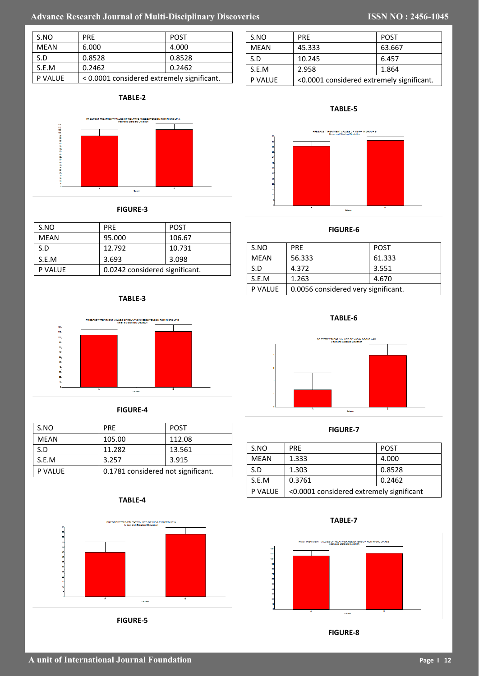# Advance Research Journal of Multi-Disciplinary Discoveries **ISSN NO : 2456-1045**

| S.NO           | <b>PRF</b>                                 | <b>POST</b> |
|----------------|--------------------------------------------|-------------|
| <b>MEAN</b>    | 6.000                                      | 4.000       |
| S.D            | 0.8528                                     | 0.8528      |
| S.E.M          | 0.2462                                     | 0.2462      |
| <b>P VALUE</b> | < 0.0001 considered extremely significant. |             |

## **TABLE-2**



## **FIGURE-3**

| S.NO           | <b>PRF</b>                     | <b>POST</b> |
|----------------|--------------------------------|-------------|
| <b>MEAN</b>    | 95.000                         | 106.67      |
| S.D            | 12.792                         | 10.731      |
| S.E.M          | 3.693                          | 3.098       |
| <b>P VALUE</b> | 0.0242 considered significant. |             |

## **TABLE-3**





| S.NO    | <b>PRF</b>                         | <b>POST</b> |
|---------|------------------------------------|-------------|
| MEAN    | 105.00                             | 112.08      |
| S.D     | 11.282                             | 13.561      |
| S.E.M   | 3.257                              | 3.915       |
| P VALUE | 0.1781 considered not significant. |             |

## **TABLE-4**



**FIGURE-5**

| S.NO    | <b>PRF</b>                                | <b>POST</b> |
|---------|-------------------------------------------|-------------|
| MFAN    | 45.333                                    | 63.667      |
| S.D     | 10.245                                    | 6.457       |
| S.E.M   | 2.958                                     | 1.864       |
| P VALUE | <0.0001 considered extremely significant. |             |



## **FIGURE-6**

| S.NO        | <b>PRF</b>                          | <b>POST</b> |
|-------------|-------------------------------------|-------------|
| <b>MEAN</b> | 56.333                              | 61.333      |
| S.D         | 4.372                               | 3.551       |
| S.E.M       | 1.263                               | 4.670       |
| P VALUE     | 0.0056 considered very significant. |             |

**TABLE-6**



## **FIGURE-7**

| S.NO           | <b>PRF</b>                               | <b>POST</b> |
|----------------|------------------------------------------|-------------|
| MEAN           | 1.333                                    | 4.000       |
| S.D            | 1.303                                    | 0.8528      |
| S.E.M          | 0.3761                                   | 0.2462      |
| <b>P VALUE</b> | <0.0001 considered extremely significant |             |

**TABLE-7**



## **FIGURE-8**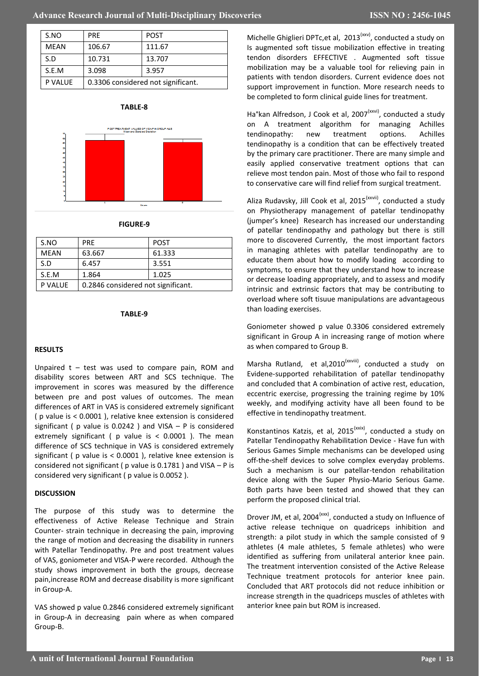| S.NO        | <b>PRF</b>                         | <b>POST</b> |
|-------------|------------------------------------|-------------|
| <b>MEAN</b> | 106.67                             | 111.67      |
| S.D         | 10.731                             | 13.707      |
| S.E.M       | 3.098                              | 3.957       |
| P VALUE     | 0.3306 considered not significant. |             |





## **FIGURE-9**

| S.NO        | <b>PRF</b>                         | <b>POST</b> |
|-------------|------------------------------------|-------------|
| <b>MEAN</b> | 63.667                             | 61.333      |
| S.D         | 6.457                              | 3.551       |
| S.E.M       | 1.864                              | 1.025       |
| P VALUE     | 0.2846 considered not significant. |             |

#### **TABLE-9**

## **RESULTS**

Unpaired  $t - test$  was used to compare pain, ROM and disability scores between ART and SCS technique. The improvement in scores was measured by the difference between pre and post values of outcomes. The mean differences of ART in VAS is considered extremely significant ( p value is < 0.0001 ), relative knee extension is considered significant ( $p$  value is 0.0242) and VISA –  $P$  is considered extremely significant (  $p$  value is < 0.0001 ). The mean difference of SCS technique in VAS is considered extremely significant ( p value is < 0.0001 ), relative knee extension is considered not significant ( $p$  value is 0.1781) and VISA – P is considered very significant ( p value is 0.0052 ).

## **DISCUSSION**

The purpose of this study was to determine the effectiveness of Active Release Technique and Strain Counter- strain technique in decreasing the pain, improving the range of motion and decreasing the disability in runners with Patellar Tendinopathy. Pre and post treatment values of VAS, goniometer and VISA-P were recorded. Although the study shows improvement in both the groups, decrease pain,increase ROM and decrease disability is more significant in Group-A.

VAS showed p value 0.2846 considered extremely significant in Group-A in decreasing pain where as when compared Group-B.

Michelle Ghiglieri DPTc, et al, 2013<sup>(xxv)</sup>, conducted a study on Is augmented soft tissue mobilization effective in treating tendon disorders EFFECTIVE . Augmented soft tissue mobilization may be a valuable tool for relieving pain in patients with tendon disorders. Current evidence does not support improvement in function. More research needs to be completed to form clinical guide lines for treatment.

Ha°kan Alfredson, J Cook et al, 2007<sup>(xxvi)</sup>, conducted a study on A treatment algorithm for managing Achilles tendinopathy: new treatment options. Achilles tendinopathy is a condition that can be effectively treated by the primary care practitioner. There are many simple and easily applied conservative treatment options that can relieve most tendon pain. Most of those who fail to respond to conservative care will find relief from surgical treatment.

Aliza Rudavsky, Jill Cook et al, 2015<sup>(xxvii)</sup>, conducted a study on Physiotherapy management of patellar tendinopathy (jumper's knee) Research has increased our understanding of patellar tendinopathy and pathology but there is still more to discovered Currently, the most important factors in managing athletes with patellar tendinopathy are to educate them about how to modify loading according to symptoms, to ensure that they understand how to increase or decrease loading appropriately, and to assess and modify intrinsic and extrinsic factors that may be contributing to overload where soft tisuue manipulations are advantageous than loading exercises.

Goniometer showed p value 0.3306 considered extremely significant in Group A in increasing range of motion where as when compared to Group B.

Marsha Rutland, et al, 2010<sup>(xxviii)</sup>, conducted a study on Evidene-supported rehabilitation of patellar tendinopathy and concluded that A combination of active rest, education, eccentric exercise, progressing the training regime by 10% weekly, and modifying activity have all been found to be effective in tendinopathy treatment.

Konstantinos Katzis, et al, 2015<sup>(xxix)</sup>, conducted a study on Patellar Tendinopathy Rehabilitation Device - Have fun with Serious Games Simple mechanisms can be developed using off-the-shelf devices to solve complex everyday problems. Such a mechanism is our patellar-tendon rehabilitation device along with the Super Physio-Mario Serious Game. Both parts have been tested and showed that they can perform the proposed clinical trial.

Drover JM, et al, 2004<sup>(xxx)</sup>, conducted a study on Influence of active release technique on quadriceps inhibition and strength: a pilot study in which the sample consisted of 9 athletes (4 male athletes, 5 female athletes) who were identified as suffering from unilateral anterior knee pain. The treatment intervention consisted of the Active Release Technique treatment protocols for anterior knee pain. Concluded that ART protocols did not reduce inhibition or increase strength in the quadriceps muscles of athletes with anterior knee pain but ROM is increased.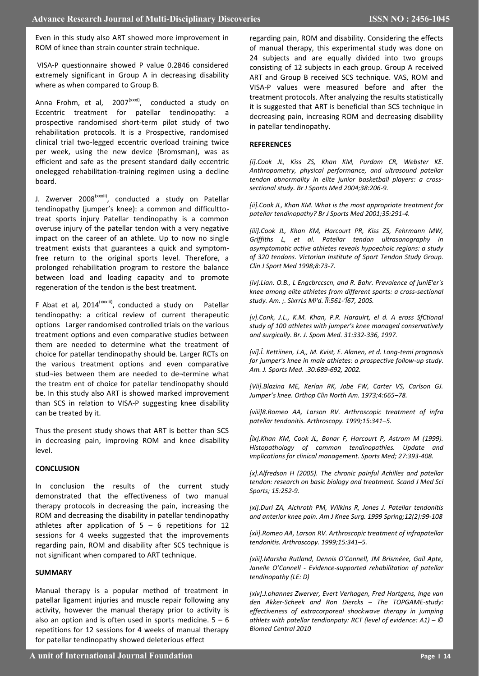Even in this study also ART showed more improvement in ROM of knee than strain counter strain technique.

VISA-P questionnaire showed P value 0.2846 considered extremely significant in Group A in decreasing disability where as when compared to Group B.

Anna Frohm, et al, 2007<sup>(xxxi)</sup>, conducted a study on Eccentric treatment for patellar tendinopathy: a prospective randomised short-term pilot study of two rehabilitation protocols. It is a Prospective, randomised clinical trial two-legged eccentric overload training twice per week, using the new device (Bromsman), was as efficient and safe as the present standard daily eccentric onelegged rehabilitation-training regimen using a decline board.

J. Zwerver 2008<sup>(xxxii)</sup>, conducted a study on Patellar tendinopathy (jumper's knee): a common and difficulttotreat sports injury Patellar tendinopathy is a common overuse injury of the patellar tendon with a very negative impact on the career of an athlete. Up to now no single treatment exists that guarantees a quick and symptomfree return to the original sports level. Therefore, a prolonged rehabilitation program to restore the balance between load and loading capacity and to promote regeneration of the tendon is the best treatment.

F Abat et al, 2014<sup>(xxxiii)</sup>, conducted a study on Patellar tendinopathy: a critical review of current therapeutic options Larger randomised controlled trials on the various treatment options and even comparative studies between them are needed to determine what the treatment of choice for patellar tendinopathy should be. Larger RCTs on the various treatment options and even comparative stud¬ies between them are needed to de¬termine what the treatm ent of choice for patellar tendinopathy should be. In this study also ART is showed marked improvement than SCS in relation to VISA-P suggesting knee disability can be treated by it.

Thus the present study shows that ART is better than SCS in decreasing pain, improving ROM and knee disability level.

## **CONCLUSION**

In conclusion the results of the current study demonstrated that the effectiveness of two manual therapy protocols in decreasing the pain, increasing the ROM and decreasing the disability in patellar tendinopathy athletes after application of  $5 - 6$  repetitions for 12 sessions for 4 weeks suggested that the improvements regarding pain, ROM and disability after SCS technique is not significant when compared to ART technique.

## **SUMMARY**

Manual therapy is a popular method of treatment in patellar ligament injuries and muscle repair following any activity, however the manual therapy prior to activity is also an option and is often used in sports medicine.  $5 - 6$ repetitions for 12 sessions for 4 weeks of manual therapy for patellar tendinopathy showed deleterious effect

regarding pain, ROM and disability. Considering the effects of manual therapy, this experimental study was done on 24 subjects and are equally divided into two groups consisting of 12 subjects in each group. Group A received ART and Group B received SCS technique. VAS, ROM and VISA-P values were measured before and after the treatment protocols. After analyzing the results statistically it is suggested that ART is beneficial than SCS technique in decreasing pain, increasing ROM and decreasing disability in patellar tendinopathy.

## **REFERENCES**

*[i].Cook JL, Kiss ZS, Khan KM, Purdam CR, Webster KE. Anthropometry, physical performance, and ultrasound patellar tendon abnormality in elite junior basketball players: a crosssectional study. Br J Sports Med 2004;38:206-9.* 

*[ii].Cook JL, Khan KM. What is the most appropriate treatment for patellar tendinopathy? Br J Sports Med 2001;35:291-4.* 

*[iii].Cook JL, Khan KM, Harcourt PR, Kiss ZS, Fehrmann MW, Griffiths L, et al. Patellar tendon ultrasonography in asymptomatic active athletes reveals hypoechoic regions: a study of 320 tendons. Victorian Institute of Sport Tendon Study Group. Clin J Sport Med 1998;8:73-7.*

*[iv].Lian. O.B., L Engcbrccscn, and R. Bahr. Prevalence of juniE'er's knee among elite athletes from different sports: a cross-sectional study. Am. ;. SixrrLs Mi'd. ÎÏ:561-'Î67, 200S.*

*[v].Conk, J.L., K.M. Khan, P.R. Harauirt, el d. A eross SfCtional study of 100 athletes with jumper's knee managed conservatively and surgically. Br. J. Spom Med. 31:332-336, 1997.*

*[vi].Î. Kettiinen, J.A,, M. Kvist, E. Alanen, et d. Long-temi prognosis for jumper's knee in male athletes: a prospective follow-up study. Am. J. Sports Med. .30:689-692, 2002.*

*[Vii].Blazina ME, Kerlan RK, Jobe FW, Carter VS, Carlson GJ. Jumper's knee. Orthop Clin North Am. 1973;4:665–78.* 

*[viii]8.Romeo AA, Larson RV. Arthroscopic treatment of infra patellar tendonitis. Arthroscopy. 1999;15:341–5.*

*[ix].Khan KM, Cook JL, Bonar F, Harcourt P, Astrom M (1999). Histopathology of common tendinopathies. Update and implications for clinical management. Sports Med; 27:393-408.*

*[x].Alfredson H (2005). The chronic painful Achilles and patellar tendon: research on basic biology and treatment. Scand J Med Sci Sports; 15:252-9.*

*[xi].Duri ZA, Aichroth PM, Wilkins R, Jones J. Patellar tendonitis and anterior knee pain. Am J Knee Surg. 1999 Spring;12(2):99-108*

*[xii].Romeo AA, Larson RV. Arthroscopic treatment of infrapatellar tendonitis. Arthroscopy. 1999;15:341–5.* 

[xiii].Marsha Rutland, Dennis O'Connell, JM Brisméee, Gail Apte, *Janelle O'Connell - Evidence-supported rehabilitation of patellar tendinopathy (LE: D)*

*[xiv].J.ohannes Zwerver, Evert Verhagen, Fred Hartgens, Inge van den Akker-Scheek and Ron Diercks – The TOPGAME-study: effectiveness of extracorporeal shockwave therapy in jumping athlets with patellar tendionpaty: RCT (level of evidence: A1) –*  $\circledcirc$ *Biomed Central 2010*